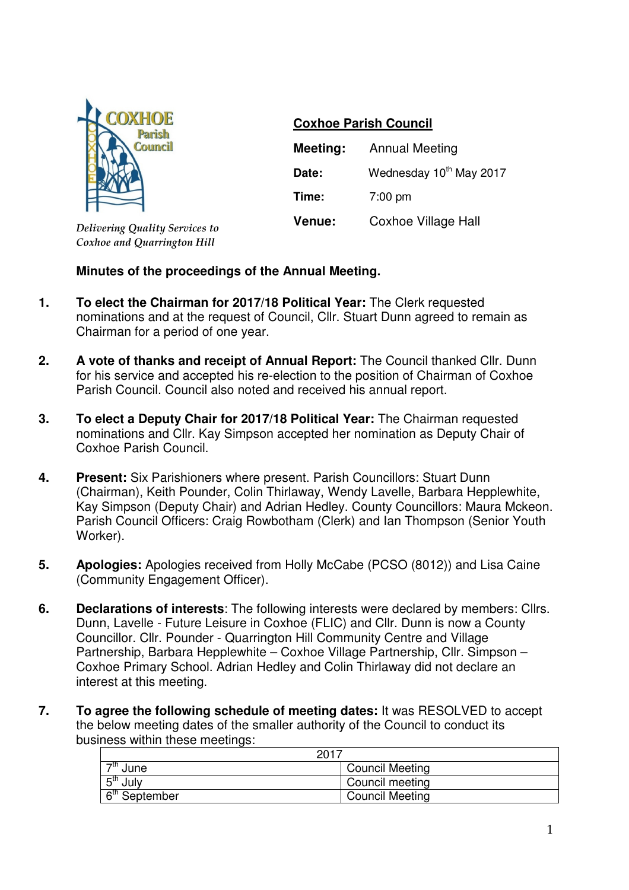

*Delivering Quality Services to Coxhoe and Quarrington Hill*

## **Coxhoe Parish Council**

| Meeting: | <b>Annual Meeting</b>   |  |
|----------|-------------------------|--|
| Date:    | Wednesday 10th May 2017 |  |
| Time:    | $7:00 \text{ pm}$       |  |
| Venue:   | Coxhoe Village Hall     |  |

## **Minutes of the proceedings of the Annual Meeting.**

- **1. To elect the Chairman for 2017/18 Political Year:** The Clerk requested nominations and at the request of Council, Cllr. Stuart Dunn agreed to remain as Chairman for a period of one year.
- **2. A vote of thanks and receipt of Annual Report:** The Council thanked Cllr. Dunn for his service and accepted his re-election to the position of Chairman of Coxhoe Parish Council. Council also noted and received his annual report.
- **3. To elect a Deputy Chair for 2017/18 Political Year:** The Chairman requested nominations and Cllr. Kay Simpson accepted her nomination as Deputy Chair of Coxhoe Parish Council.
- **4. Present:** Six Parishioners where present. Parish Councillors: Stuart Dunn (Chairman), Keith Pounder, Colin Thirlaway, Wendy Lavelle, Barbara Hepplewhite, Kay Simpson (Deputy Chair) and Adrian Hedley. County Councillors: Maura Mckeon. Parish Council Officers: Craig Rowbotham (Clerk) and Ian Thompson (Senior Youth Worker).
- **5. Apologies:** Apologies received from Holly McCabe (PCSO (8012)) and Lisa Caine (Community Engagement Officer).
- **6. Declarations of interests**: The following interests were declared by members: Cllrs. Dunn, Lavelle - Future Leisure in Coxhoe (FLIC) and Cllr. Dunn is now a County Councillor. Cllr. Pounder - Quarrington Hill Community Centre and Village Partnership, Barbara Hepplewhite – Coxhoe Village Partnership, Cllr. Simpson – Coxhoe Primary School. Adrian Hedley and Colin Thirlaway did not declare an interest at this meeting.
- **7. To agree the following schedule of meeting dates:** It was RESOLVED to accept the below meeting dates of the smaller authority of the Council to conduct its business within these meetings:

| 2017                      |                        |
|---------------------------|------------------------|
| →th<br>June               | <b>Council Meeting</b> |
| 5 <sup>th</sup><br>July   | Council meeting        |
| 6 <sup>th</sup> September | <b>Council Meeting</b> |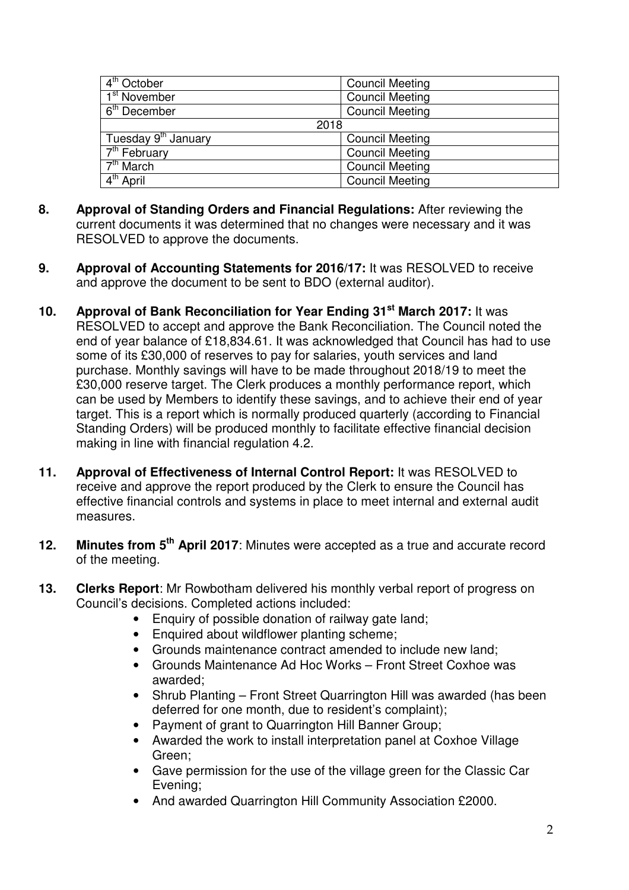| 4 <sup>th</sup> October          | <b>Council Meeting</b> |  |
|----------------------------------|------------------------|--|
| $1st$ November                   | <b>Council Meeting</b> |  |
| $6th$ December                   | <b>Council Meeting</b> |  |
| 2018                             |                        |  |
| Tuesday 9 <sup>th</sup> January  | <b>Council Meeting</b> |  |
| $7th$ February                   | <b>Council Meeting</b> |  |
| $\overline{7}^{\text{th}}$ March | <b>Council Meeting</b> |  |
| 4 <sup>th</sup> April            | <b>Council Meeting</b> |  |

- **8. Approval of Standing Orders and Financial Regulations:** After reviewing the current documents it was determined that no changes were necessary and it was RESOLVED to approve the documents.
- **9. Approval of Accounting Statements for 2016/17:** It was RESOLVED to receive and approve the document to be sent to BDO (external auditor).
- **10. Approval of Bank Reconciliation for Year Ending 31st March 2017:** It was RESOLVED to accept and approve the Bank Reconciliation. The Council noted the end of year balance of £18,834.61. It was acknowledged that Council has had to use some of its £30,000 of reserves to pay for salaries, youth services and land purchase. Monthly savings will have to be made throughout 2018/19 to meet the £30,000 reserve target. The Clerk produces a monthly performance report, which can be used by Members to identify these savings, and to achieve their end of year target. This is a report which is normally produced quarterly (according to Financial Standing Orders) will be produced monthly to facilitate effective financial decision making in line with financial regulation 4.2.
- **11. Approval of Effectiveness of Internal Control Report:** It was RESOLVED to receive and approve the report produced by the Clerk to ensure the Council has effective financial controls and systems in place to meet internal and external audit measures.
- **12. Minutes from 5th April 2017**: Minutes were accepted as a true and accurate record of the meeting.
- **13. Clerks Report**: Mr Rowbotham delivered his monthly verbal report of progress on Council's decisions. Completed actions included:
	- Enquiry of possible donation of railway gate land:
	- Enquired about wildflower planting scheme;
	- Grounds maintenance contract amended to include new land;
	- Grounds Maintenance Ad Hoc Works Front Street Coxhoe was awarded;
	- Shrub Planting Front Street Quarrington Hill was awarded (has been deferred for one month, due to resident's complaint);
	- Payment of grant to Quarrington Hill Banner Group;
	- Awarded the work to install interpretation panel at Coxhoe Village Green;
	- Gave permission for the use of the village green for the Classic Car Evening;
	- And awarded Quarrington Hill Community Association £2000.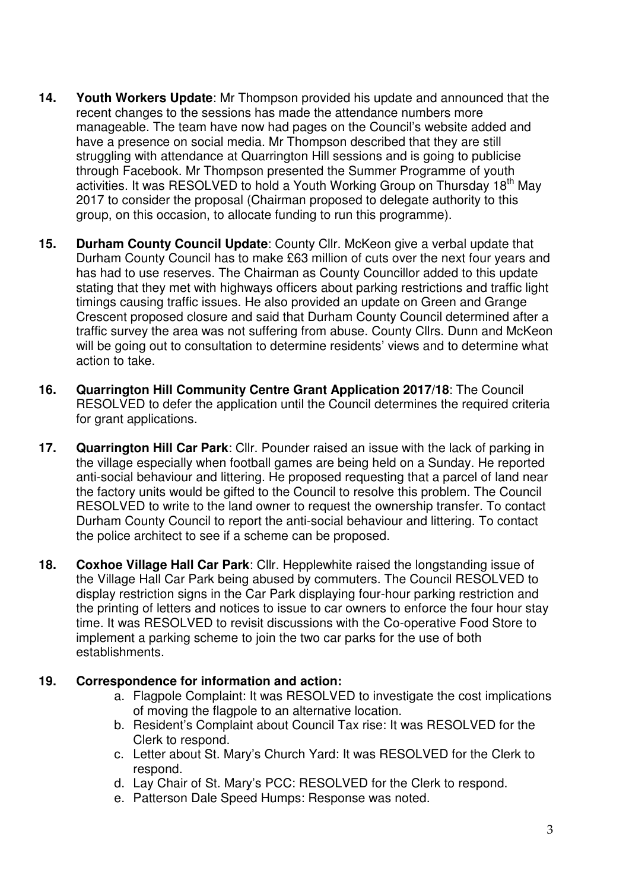- **14. Youth Workers Update**: Mr Thompson provided his update and announced that the recent changes to the sessions has made the attendance numbers more manageable. The team have now had pages on the Council's website added and have a presence on social media. Mr Thompson described that they are still struggling with attendance at Quarrington Hill sessions and is going to publicise through Facebook. Mr Thompson presented the Summer Programme of youth activities. It was RESOLVED to hold a Youth Working Group on Thursday 18<sup>th</sup> May 2017 to consider the proposal (Chairman proposed to delegate authority to this group, on this occasion, to allocate funding to run this programme).
- **15. Durham County Council Update**: County Cllr. McKeon give a verbal update that Durham County Council has to make £63 million of cuts over the next four years and has had to use reserves. The Chairman as County Councillor added to this update stating that they met with highways officers about parking restrictions and traffic light timings causing traffic issues. He also provided an update on Green and Grange Crescent proposed closure and said that Durham County Council determined after a traffic survey the area was not suffering from abuse. County Cllrs. Dunn and McKeon will be going out to consultation to determine residents' views and to determine what action to take.
- **16. Quarrington Hill Community Centre Grant Application 2017/18**: The Council RESOLVED to defer the application until the Council determines the required criteria for grant applications.
- **17. Quarrington Hill Car Park**: Cllr. Pounder raised an issue with the lack of parking in the village especially when football games are being held on a Sunday. He reported anti-social behaviour and littering. He proposed requesting that a parcel of land near the factory units would be gifted to the Council to resolve this problem. The Council RESOLVED to write to the land owner to request the ownership transfer. To contact Durham County Council to report the anti-social behaviour and littering. To contact the police architect to see if a scheme can be proposed.
- **18. Coxhoe Village Hall Car Park**: Cllr. Hepplewhite raised the longstanding issue of the Village Hall Car Park being abused by commuters. The Council RESOLVED to display restriction signs in the Car Park displaying four-hour parking restriction and the printing of letters and notices to issue to car owners to enforce the four hour stay time. It was RESOLVED to revisit discussions with the Co-operative Food Store to implement a parking scheme to join the two car parks for the use of both establishments.

## **19. Correspondence for information and action:**

- a. Flagpole Complaint: It was RESOLVED to investigate the cost implications of moving the flagpole to an alternative location.
- b. Resident's Complaint about Council Tax rise: It was RESOLVED for the Clerk to respond.
- c. Letter about St. Mary's Church Yard: It was RESOLVED for the Clerk to respond.
- d. Lay Chair of St. Mary's PCC: RESOLVED for the Clerk to respond.
- e. Patterson Dale Speed Humps: Response was noted.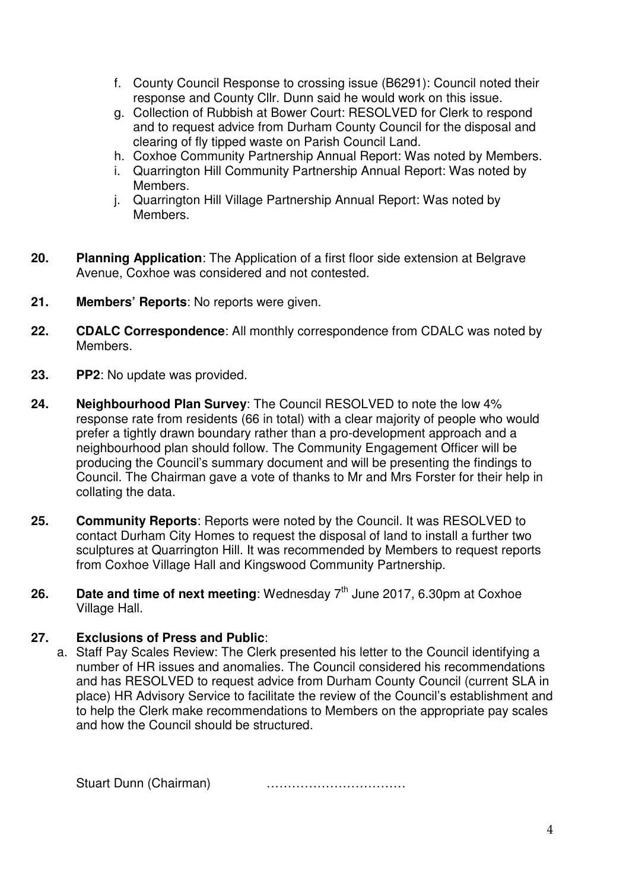- f. County Council Response to crossing issue (B6291): Council noted their response and County Cllr. Dunn said he would work on this issue.
- g. Collection of Rubbish at Bower Court: RESOLVED for Clerk to respond and to request advice from Durham County Council for the disposal and clearing of fly tipped waste on Parish Council Land.
- h. Coxhoe Community Partnership Annual Report: Was noted by Members.
- i. Quarrington Hill Community Partnership Annual Report: Was noted by Members.
- j. Quarrington Hill Village Partnership Annual Report: Was noted by Members.
- **20. Planning Application**: The Application of a first floor side extension at Belgrave Avenue, Coxhoe was considered and not contested.
- **21. Members' Reports**: No reports were given.
- **22. CDALC Correspondence**: All monthly correspondence from CDALC was noted by Members.
- **23. PP2**: No update was provided.
- **24. Neighbourhood Plan Survey**: The Council RESOLVED to note the low 4% response rate from residents (66 in total) with a clear majority of people who would prefer a tightly drawn boundary rather than a pro-development approach and a neighbourhood plan should follow. The Community Engagement Officer will be producing the Council's summary document and will be presenting the findings to Council. The Chairman gave a vote of thanks to Mr and Mrs Forster for their help in collating the data.
- **25. Community Reports**: Reports were noted by the Council. It was RESOLVED to contact Durham City Homes to request the disposal of land to install a further two sculptures at Quarrington Hill. It was recommended by Members to request reports from Coxhoe Village Hall and Kingswood Community Partnership.
- **26.** Date and time of next meeting: Wednesday  $7<sup>th</sup>$  June 2017, 6.30pm at Coxhoe Village Hall.

## **27. Exclusions of Press and Public**:

a. Staff Pay Scales Review: The Clerk presented his letter to the Council identifying a number of HR issues and anomalies. The Council considered his recommendations and has RESOLVED to request advice from Durham County Council (current SLA in place) HR Advisory Service to facilitate the review of the Council's establishment and to help the Clerk make recommendations to Members on the appropriate pay scales and how the Council should be structured.

Stuart Dunn (Chairman) ……………………………